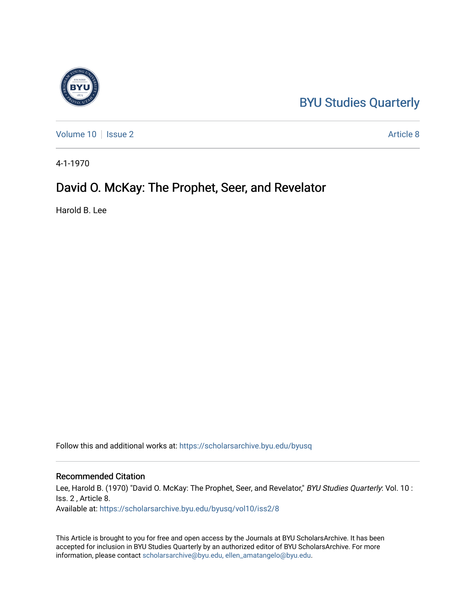## [BYU Studies Quarterly](https://scholarsarchive.byu.edu/byusq)

[Volume 10](https://scholarsarchive.byu.edu/byusq/vol10) | [Issue 2](https://scholarsarchive.byu.edu/byusq/vol10/iss2) Article 8

4-1-1970

### David O. McKay: The Prophet, Seer, and Revelator

Harold B. Lee

Follow this and additional works at: [https://scholarsarchive.byu.edu/byusq](https://scholarsarchive.byu.edu/byusq?utm_source=scholarsarchive.byu.edu%2Fbyusq%2Fvol10%2Fiss2%2F8&utm_medium=PDF&utm_campaign=PDFCoverPages) 

#### Recommended Citation

Lee, Harold B. (1970) "David O. McKay: The Prophet, Seer, and Revelator," BYU Studies Quarterly: Vol. 10 : Iss. 2 , Article 8. Available at: [https://scholarsarchive.byu.edu/byusq/vol10/iss2/8](https://scholarsarchive.byu.edu/byusq/vol10/iss2/8?utm_source=scholarsarchive.byu.edu%2Fbyusq%2Fvol10%2Fiss2%2F8&utm_medium=PDF&utm_campaign=PDFCoverPages)

This Article is brought to you for free and open access by the Journals at BYU ScholarsArchive. It has been accepted for inclusion in BYU Studies Quarterly by an authorized editor of BYU ScholarsArchive. For more information, please contact [scholarsarchive@byu.edu, ellen\\_amatangelo@byu.edu.](mailto:scholarsarchive@byu.edu,%20ellen_amatangelo@byu.edu)